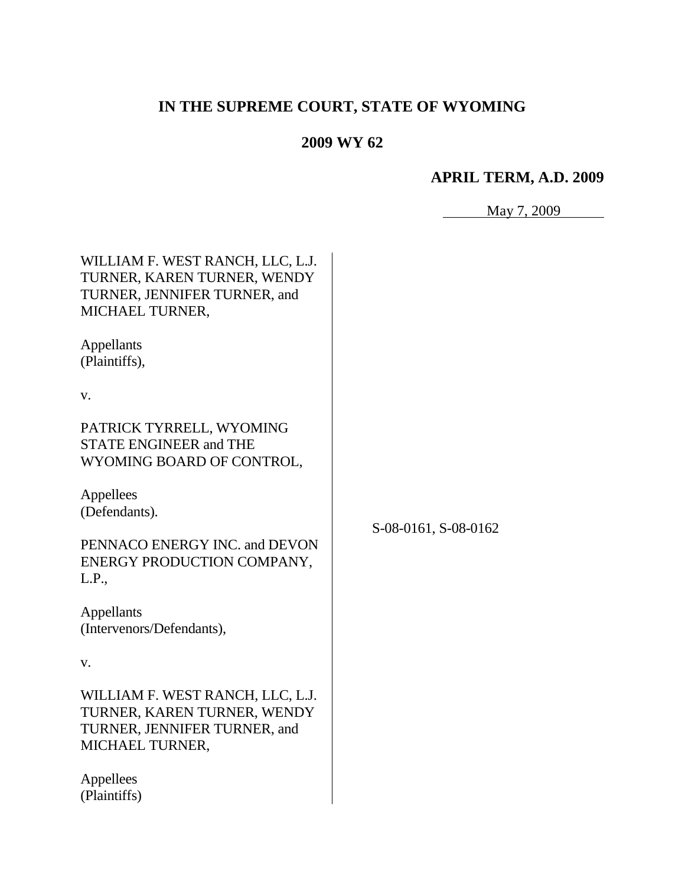# **IN THE SUPREME COURT, STATE OF WYOMING**

## **2009 WY 62**

## **APRIL TERM, A.D. 2009**

| 1av | ٦ΛΛ |  |
|-----|-----|--|
|     |     |  |

 $\overline{\phantom{0}}$ 

| WILLIAM F. WEST RANCH, LLC, L.J.<br>TURNER, KAREN TURNER, WENDY<br>TURNER, JENNIFER TURNER, and<br>MICHAEL TURNER,<br>Appellants<br>(Plaintiffs), |                      |
|---------------------------------------------------------------------------------------------------------------------------------------------------|----------------------|
| V.                                                                                                                                                |                      |
| PATRICK TYRRELL, WYOMING<br><b>STATE ENGINEER and THE</b><br>WYOMING BOARD OF CONTROL,                                                            |                      |
| Appellees<br>(Defendants).                                                                                                                        | S-08-0161, S-08-0162 |
| PENNACO ENERGY INC. and DEVON<br>ENERGY PRODUCTION COMPANY,<br>L.P.,                                                                              |                      |
| Appellants<br>(Intervenors/Defendants),                                                                                                           |                      |
| V.                                                                                                                                                |                      |
| WILLIAM F. WEST RANCH, LLC, L.J.<br>TURNER, KAREN TURNER, WENDY<br>TURNER, JENNIFER TURNER, and<br>MICHAEL TURNER,                                |                      |
| Appellees<br>(Plaintiffs)                                                                                                                         |                      |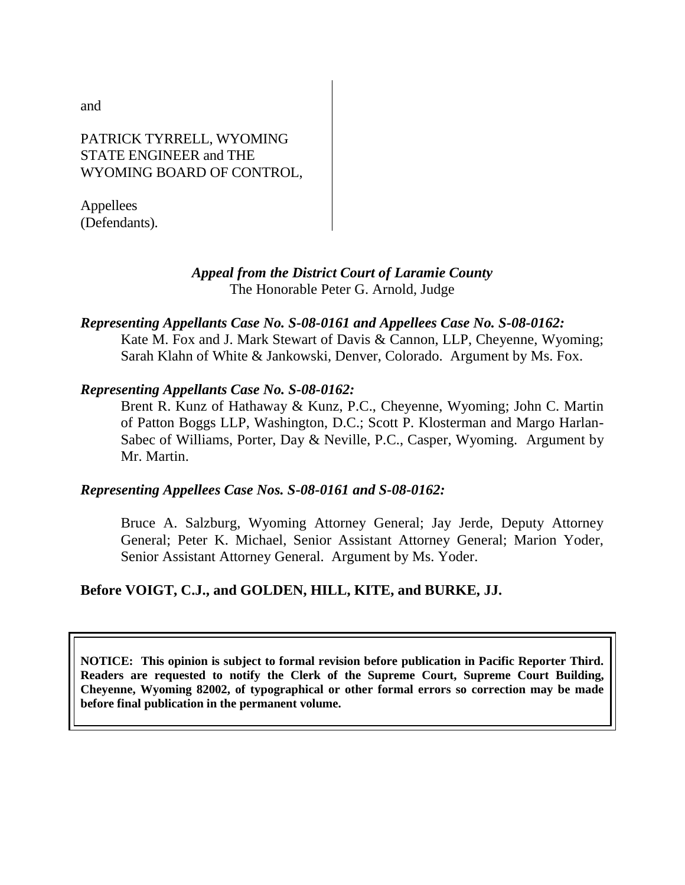and

#### PATRICK TYRRELL, WYOMING STATE ENGINEER and THE WYOMING BOARD OF CONTROL,

Appellees (Defendants).

#### *Appeal from the District Court of Laramie County* The Honorable Peter G. Arnold, Judge

## *Representing Appellants Case No. S-08-0161 and Appellees Case No. S-08-0162:*

Kate M. Fox and J. Mark Stewart of Davis & Cannon, LLP, Cheyenne, Wyoming; Sarah Klahn of White & Jankowski, Denver, Colorado. Argument by Ms. Fox.

#### *Representing Appellants Case No. S-08-0162:*

Brent R. Kunz of Hathaway & Kunz, P.C., Cheyenne, Wyoming; John C. Martin of Patton Boggs LLP, Washington, D.C.; Scott P. Klosterman and Margo Harlan-Sabec of Williams, Porter, Day & Neville, P.C., Casper, Wyoming. Argument by Mr. Martin.

#### *Representing Appellees Case Nos. S-08-0161 and S-08-0162:*

Bruce A. Salzburg, Wyoming Attorney General; Jay Jerde, Deputy Attorney General; Peter K. Michael, Senior Assistant Attorney General; Marion Yoder, Senior Assistant Attorney General. Argument by Ms. Yoder.

### **Before VOIGT, C.J., and GOLDEN, HILL, KITE, and BURKE, JJ.**

**NOTICE: This opinion is subject to formal revision before publication in Pacific Reporter Third. Readers are requested to notify the Clerk of the Supreme Court, Supreme Court Building, Cheyenne, Wyoming 82002, of typographical or other formal errors so correction may be made before final publication in the permanent volume.**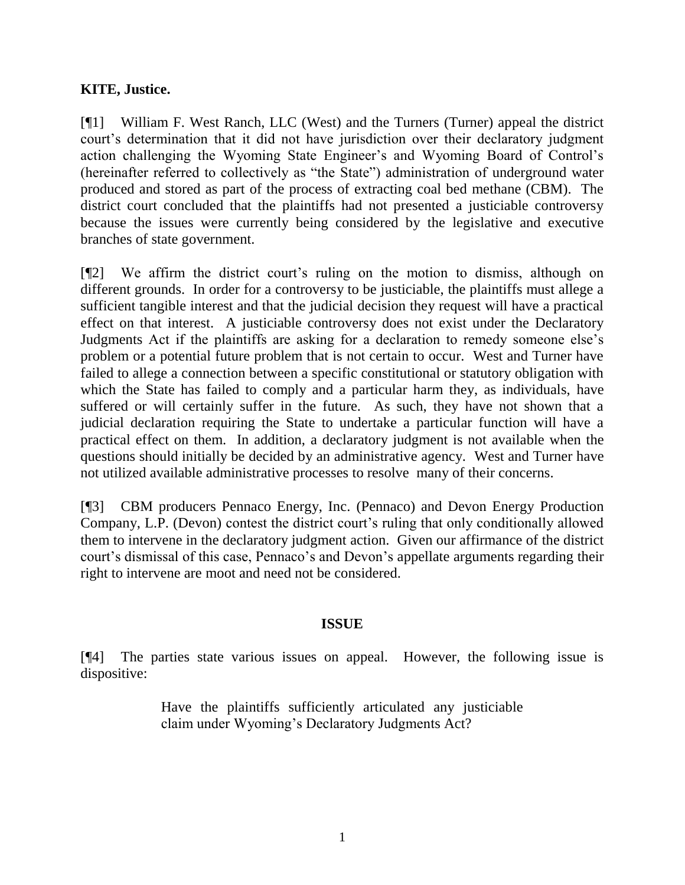### **KITE, Justice.**

[¶1] William F. West Ranch, LLC (West) and the Turners (Turner) appeal the district court's determination that it did not have jurisdiction over their declaratory judgment action challenging the Wyoming State Engineer's and Wyoming Board of Control's (hereinafter referred to collectively as "the State") administration of underground water produced and stored as part of the process of extracting coal bed methane (CBM). The district court concluded that the plaintiffs had not presented a justiciable controversy because the issues were currently being considered by the legislative and executive branches of state government.

[¶2] We affirm the district court's ruling on the motion to dismiss, although on different grounds. In order for a controversy to be justiciable, the plaintiffs must allege a sufficient tangible interest and that the judicial decision they request will have a practical effect on that interest. A justiciable controversy does not exist under the Declaratory Judgments Act if the plaintiffs are asking for a declaration to remedy someone else's problem or a potential future problem that is not certain to occur. West and Turner have failed to allege a connection between a specific constitutional or statutory obligation with which the State has failed to comply and a particular harm they, as individuals, have suffered or will certainly suffer in the future. As such, they have not shown that a judicial declaration requiring the State to undertake a particular function will have a practical effect on them. In addition, a declaratory judgment is not available when the questions should initially be decided by an administrative agency. West and Turner have not utilized available administrative processes to resolve many of their concerns.

[¶3] CBM producers Pennaco Energy, Inc. (Pennaco) and Devon Energy Production Company, L.P. (Devon) contest the district court's ruling that only conditionally allowed them to intervene in the declaratory judgment action. Given our affirmance of the district court's dismissal of this case, Pennaco's and Devon's appellate arguments regarding their right to intervene are moot and need not be considered.

### **ISSUE**

[¶4] The parties state various issues on appeal. However, the following issue is dispositive:

> Have the plaintiffs sufficiently articulated any justiciable claim under Wyoming's Declaratory Judgments Act?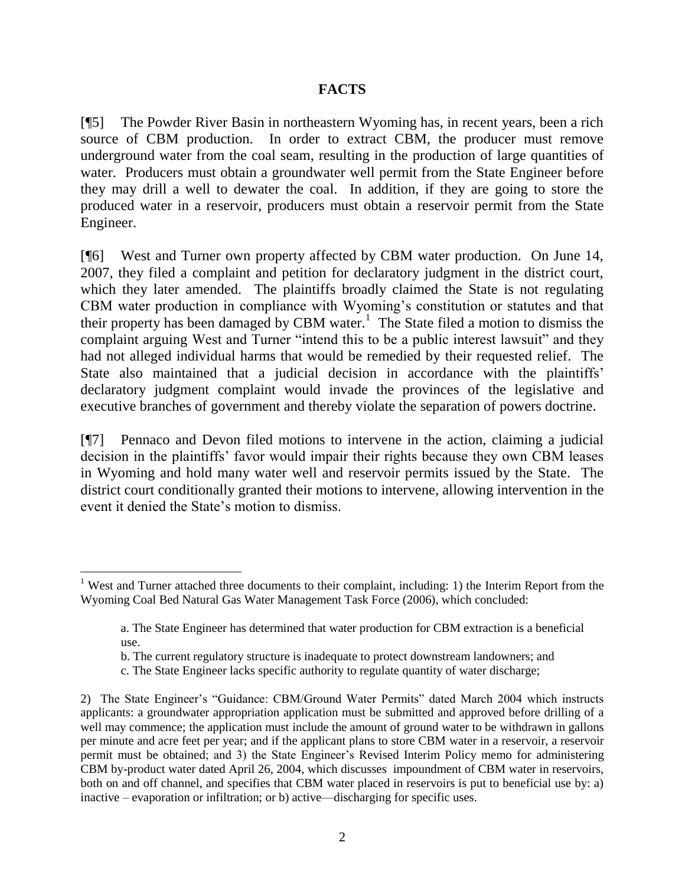#### **FACTS**

[¶5] The Powder River Basin in northeastern Wyoming has, in recent years, been a rich source of CBM production. In order to extract CBM, the producer must remove underground water from the coal seam, resulting in the production of large quantities of water. Producers must obtain a groundwater well permit from the State Engineer before they may drill a well to dewater the coal. In addition, if they are going to store the produced water in a reservoir, producers must obtain a reservoir permit from the State Engineer.

[¶6] West and Turner own property affected by CBM water production. On June 14, 2007, they filed a complaint and petition for declaratory judgment in the district court, which they later amended. The plaintiffs broadly claimed the State is not regulating CBM water production in compliance with Wyoming's constitution or statutes and that their property has been damaged by CBM water.<sup>1</sup> The State filed a motion to dismiss the complaint arguing West and Turner "intend this to be a public interest lawsuit" and they had not alleged individual harms that would be remedied by their requested relief. The State also maintained that a judicial decision in accordance with the plaintiffs' declaratory judgment complaint would invade the provinces of the legislative and executive branches of government and thereby violate the separation of powers doctrine.

[¶7] Pennaco and Devon filed motions to intervene in the action, claiming a judicial decision in the plaintiffs' favor would impair their rights because they own CBM leases in Wyoming and hold many water well and reservoir permits issued by the State. The district court conditionally granted their motions to intervene, allowing intervention in the event it denied the State's motion to dismiss.

<sup>&</sup>lt;sup>1</sup> West and Turner attached three documents to their complaint, including: 1) the Interim Report from the Wyoming Coal Bed Natural Gas Water Management Task Force (2006), which concluded:

a. The State Engineer has determined that water production for CBM extraction is a beneficial use.

b. The current regulatory structure is inadequate to protect downstream landowners; and

c. The State Engineer lacks specific authority to regulate quantity of water discharge;

<sup>2)</sup> The State Engineer's "Guidance: CBM/Ground Water Permits" dated March 2004 which instructs applicants: a groundwater appropriation application must be submitted and approved before drilling of a well may commence; the application must include the amount of ground water to be withdrawn in gallons per minute and acre feet per year; and if the applicant plans to store CBM water in a reservoir, a reservoir permit must be obtained; and 3) the State Engineer's Revised Interim Policy memo for administering CBM by-product water dated April 26, 2004, which discusses impoundment of CBM water in reservoirs, both on and off channel, and specifies that CBM water placed in reservoirs is put to beneficial use by: a) inactive – evaporation or infiltration; or b) active—discharging for specific uses.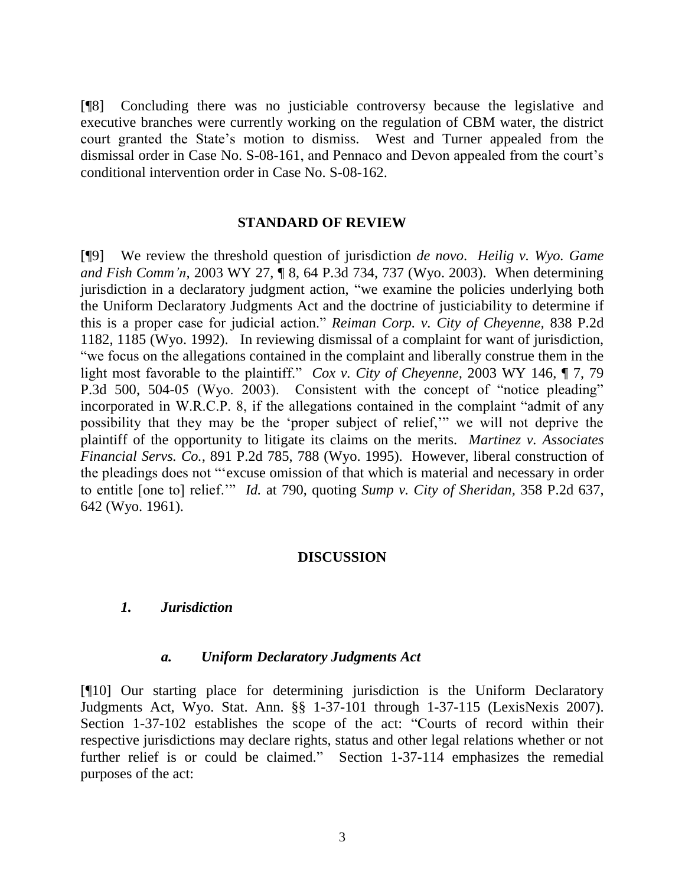[¶8] Concluding there was no justiciable controversy because the legislative and executive branches were currently working on the regulation of CBM water, the district court granted the State's motion to dismiss. West and Turner appealed from the dismissal order in Case No. S-08-161, and Pennaco and Devon appealed from the court's conditional intervention order in Case No. S-08-162.

#### **STANDARD OF REVIEW**

[¶9] We review the threshold question of jurisdiction *de novo*. *Heilig v. Wyo. Game and Fish Comm'n,* 2003 WY 27, ¶ 8, 64 P.3d 734, 737 (Wyo. 2003). When determining jurisdiction in a declaratory judgment action, "we examine the policies underlying both the Uniform Declaratory Judgments Act and the doctrine of justiciability to determine if this is a proper case for judicial action.‖ *Reiman Corp. v. City of Cheyenne,* 838 P.2d 1182, 1185 (Wyo. 1992). In reviewing dismissal of a complaint for want of jurisdiction, ―we focus on the allegations contained in the complaint and liberally construe them in the light most favorable to the plaintiff." *Cox v. City of Cheyenne*, 2003 WY 146, ¶ 7, 79 P.3d 500, 504-05 (Wyo. 2003). Consistent with the concept of "notice pleading" incorporated in W.R.C.P. 8, if the allegations contained in the complaint "admit of any possibility that they may be the 'proper subject of relief,'" we will not deprive the plaintiff of the opportunity to litigate its claims on the merits. *Martinez v. Associates Financial Servs. Co.,* 891 P.2d 785, 788 (Wyo. 1995). However, liberal construction of the pleadings does not "'excuse omission of that which is material and necessary in order to entitle [one to] relief." *Id.* at 790, quoting *Sump v. City of Sheridan*, 358 P.2d 637, 642 (Wyo. 1961).

#### **DISCUSSION**

#### *1. Jurisdiction*

#### *a. Uniform Declaratory Judgments Act*

[¶10] Our starting place for determining jurisdiction is the Uniform Declaratory Judgments Act, Wyo. Stat. Ann. §§ 1-37-101 through 1-37-115 (LexisNexis 2007). Section 1-37-102 establishes the scope of the act: "Courts of record within their respective jurisdictions may declare rights, status and other legal relations whether or not further relief is or could be claimed." Section 1-37-114 emphasizes the remedial purposes of the act: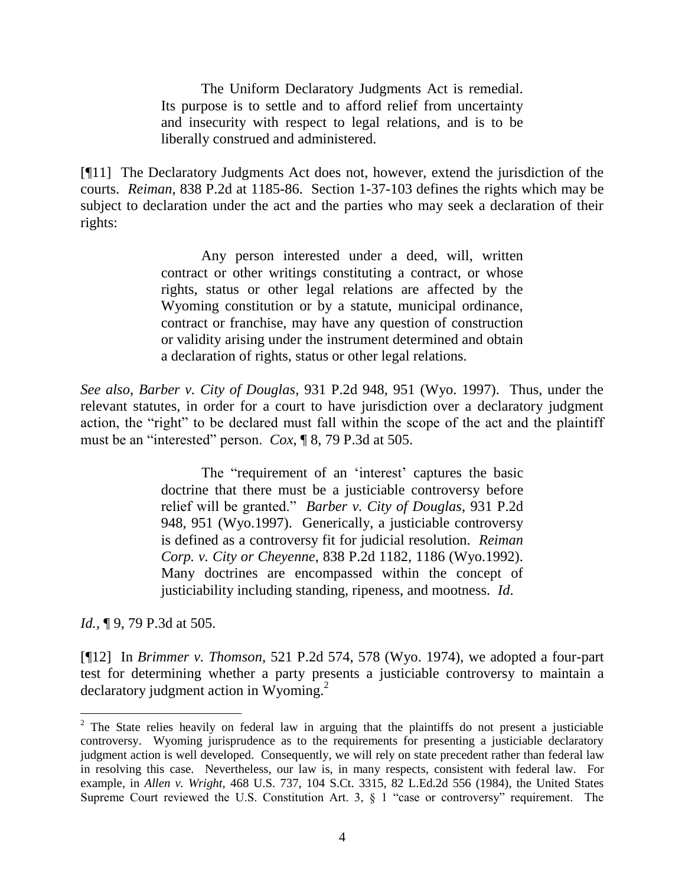The Uniform Declaratory Judgments Act is remedial. Its purpose is to settle and to afford relief from uncertainty and insecurity with respect to legal relations, and is to be liberally construed and administered.

[¶11] The Declaratory Judgments Act does not, however, extend the jurisdiction of the courts. *Reiman,* 838 P.2d at 1185-86. Section 1-37-103 defines the rights which may be subject to declaration under the act and the parties who may seek a declaration of their rights:

> Any person interested under a deed, will, written contract or other writings constituting a contract, or whose rights, status or other legal relations are affected by the Wyoming constitution or by a statute, municipal ordinance, contract or franchise, may have any question of construction or validity arising under the instrument determined and obtain a declaration of rights, status or other legal relations.

*See also*, *Barber v. City of Douglas,* 931 P.2d 948, 951 (Wyo. 1997). Thus, under the relevant statutes, in order for a court to have jurisdiction over a declaratory judgment action, the "right" to be declared must fall within the scope of the act and the plaintiff must be an "interested" person. *Cox*, ¶ 8, 79 P.3d at 505.

> The "requirement of an 'interest' captures the basic doctrine that there must be a justiciable controversy before relief will be granted.‖ *Barber v. City of Douglas*, 931 P.2d 948, 951 (Wyo.1997). Generically, a justiciable controversy is defined as a controversy fit for judicial resolution. *Reiman Corp. v. City or Cheyenne*, 838 P.2d 1182, 1186 (Wyo.1992). Many doctrines are encompassed within the concept of justiciability including standing, ripeness, and mootness. *Id*.

*Id.*, **[9, 79 P.3d at 505.** 

 $\overline{a}$ 

[¶12] In *Brimmer v. Thomson,* 521 P.2d 574, 578 (Wyo. 1974), we adopted a four-part test for determining whether a party presents a justiciable controversy to maintain a declaratory judgment action in Wyoming.<sup>2</sup>

 $2$  The State relies heavily on federal law in arguing that the plaintiffs do not present a justiciable controversy. Wyoming jurisprudence as to the requirements for presenting a justiciable declaratory judgment action is well developed. Consequently, we will rely on state precedent rather than federal law in resolving this case. Nevertheless, our law is, in many respects, consistent with federal law. For example, in *Allen v. Wright,* 468 U.S. 737, 104 S.Ct. 3315, 82 L.Ed.2d 556 (1984), the United States Supreme Court reviewed the U.S. Constitution Art. 3,  $\S$  1 "case or controversy" requirement. The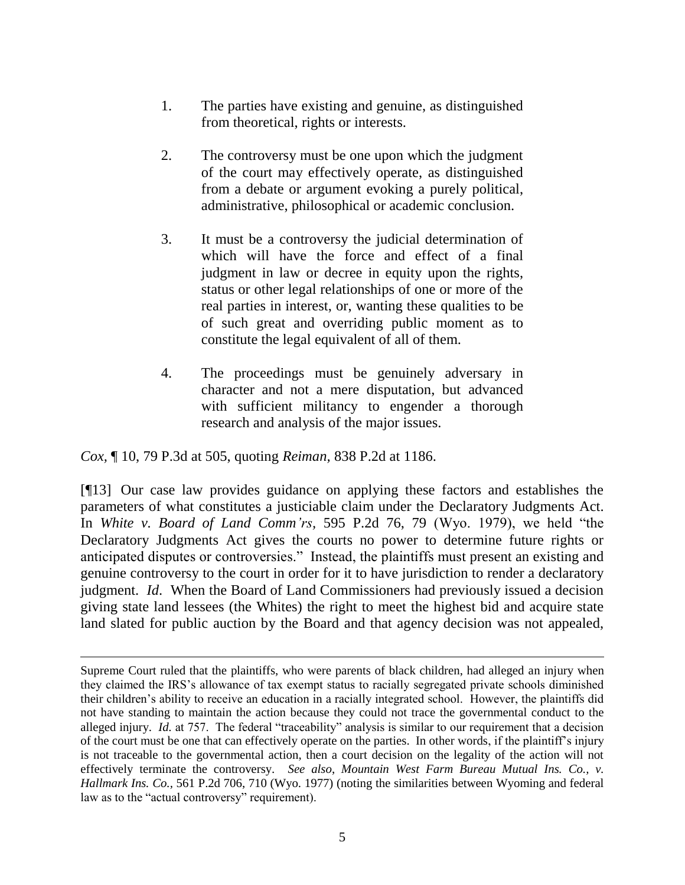- 1. The parties have existing and genuine, as distinguished from theoretical, rights or interests.
- 2. The controversy must be one upon which the judgment of the court may effectively operate, as distinguished from a debate or argument evoking a purely political, administrative, philosophical or academic conclusion.
- 3. It must be a controversy the judicial determination of which will have the force and effect of a final judgment in law or decree in equity upon the rights, status or other legal relationships of one or more of the real parties in interest, or, wanting these qualities to be of such great and overriding public moment as to constitute the legal equivalent of all of them.
- 4. The proceedings must be genuinely adversary in character and not a mere disputation, but advanced with sufficient militancy to engender a thorough research and analysis of the major issues.

*Cox,* ¶ 10, 79 P.3d at 505, quoting *Reiman,* 838 P.2d at 1186.

 $\overline{a}$ 

[¶13] Our case law provides guidance on applying these factors and establishes the parameters of what constitutes a justiciable claim under the Declaratory Judgments Act. In *White v. Board of Land Comm'rs*, 595 P.2d 76, 79 (Wyo. 1979), we held "the Declaratory Judgments Act gives the courts no power to determine future rights or anticipated disputes or controversies." Instead, the plaintiffs must present an existing and genuine controversy to the court in order for it to have jurisdiction to render a declaratory judgment. *Id*. When the Board of Land Commissioners had previously issued a decision giving state land lessees (the Whites) the right to meet the highest bid and acquire state land slated for public auction by the Board and that agency decision was not appealed,

Supreme Court ruled that the plaintiffs, who were parents of black children, had alleged an injury when they claimed the IRS's allowance of tax exempt status to racially segregated private schools diminished their children's ability to receive an education in a racially integrated school. However, the plaintiffs did not have standing to maintain the action because they could not trace the governmental conduct to the alleged injury. *Id.* at 757. The federal "traceability" analysis is similar to our requirement that a decision of the court must be one that can effectively operate on the parties. In other words, if the plaintiff's injury is not traceable to the governmental action, then a court decision on the legality of the action will not effectively terminate the controversy. *See also*, *Mountain West Farm Bureau Mutual Ins. Co., v. Hallmark Ins. Co.,* 561 P.2d 706, 710 (Wyo. 1977) (noting the similarities between Wyoming and federal law as to the "actual controversy" requirement).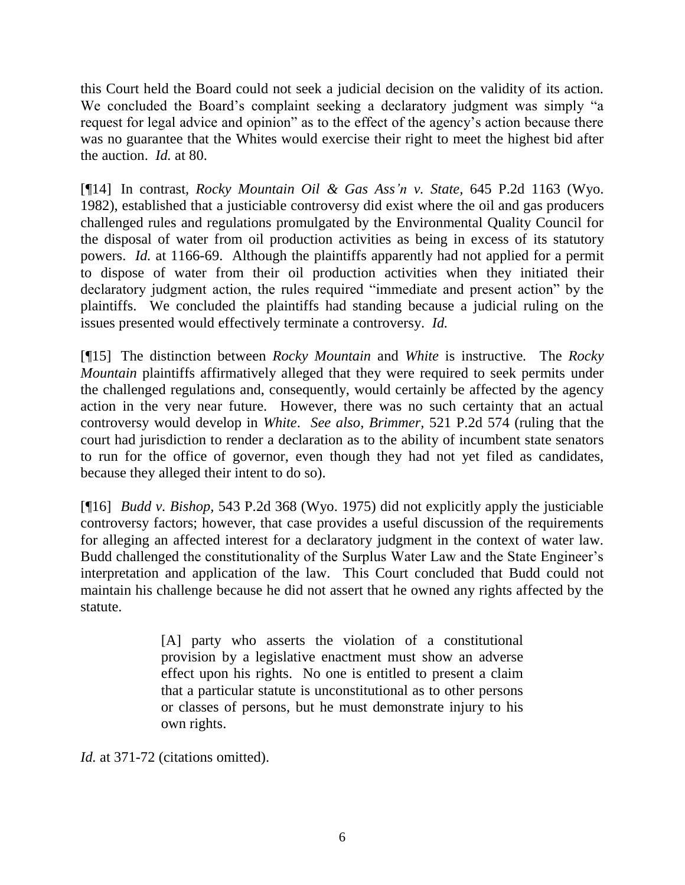this Court held the Board could not seek a judicial decision on the validity of its action. We concluded the Board's complaint seeking a declaratory judgment was simply "a request for legal advice and opinion" as to the effect of the agency's action because there was no guarantee that the Whites would exercise their right to meet the highest bid after the auction. *Id.* at 80.

[¶14] In contrast, *Rocky Mountain Oil & Gas Ass'n v. State,* 645 P.2d 1163 (Wyo. 1982), established that a justiciable controversy did exist where the oil and gas producers challenged rules and regulations promulgated by the Environmental Quality Council for the disposal of water from oil production activities as being in excess of its statutory powers. *Id.* at 1166-69. Although the plaintiffs apparently had not applied for a permit to dispose of water from their oil production activities when they initiated their declaratory judgment action, the rules required "immediate and present action" by the plaintiffs. We concluded the plaintiffs had standing because a judicial ruling on the issues presented would effectively terminate a controversy. *Id.* 

[¶15] The distinction between *Rocky Mountain* and *White* is instructive*.* The *Rocky Mountain* plaintiffs affirmatively alleged that they were required to seek permits under the challenged regulations and, consequently, would certainly be affected by the agency action in the very near future. However, there was no such certainty that an actual controversy would develop in *White*. *See also*, *Brimmer,* 521 P.2d 574 (ruling that the court had jurisdiction to render a declaration as to the ability of incumbent state senators to run for the office of governor, even though they had not yet filed as candidates, because they alleged their intent to do so).

[¶16] *Budd v. Bishop,* 543 P.2d 368 (Wyo. 1975) did not explicitly apply the justiciable controversy factors; however, that case provides a useful discussion of the requirements for alleging an affected interest for a declaratory judgment in the context of water law. Budd challenged the constitutionality of the Surplus Water Law and the State Engineer's interpretation and application of the law. This Court concluded that Budd could not maintain his challenge because he did not assert that he owned any rights affected by the statute.

> [A] party who asserts the violation of a constitutional provision by a legislative enactment must show an adverse effect upon his rights. No one is entitled to present a claim that a particular statute is unconstitutional as to other persons or classes of persons, but he must demonstrate injury to his own rights.

*Id.* at 371-72 (citations omitted).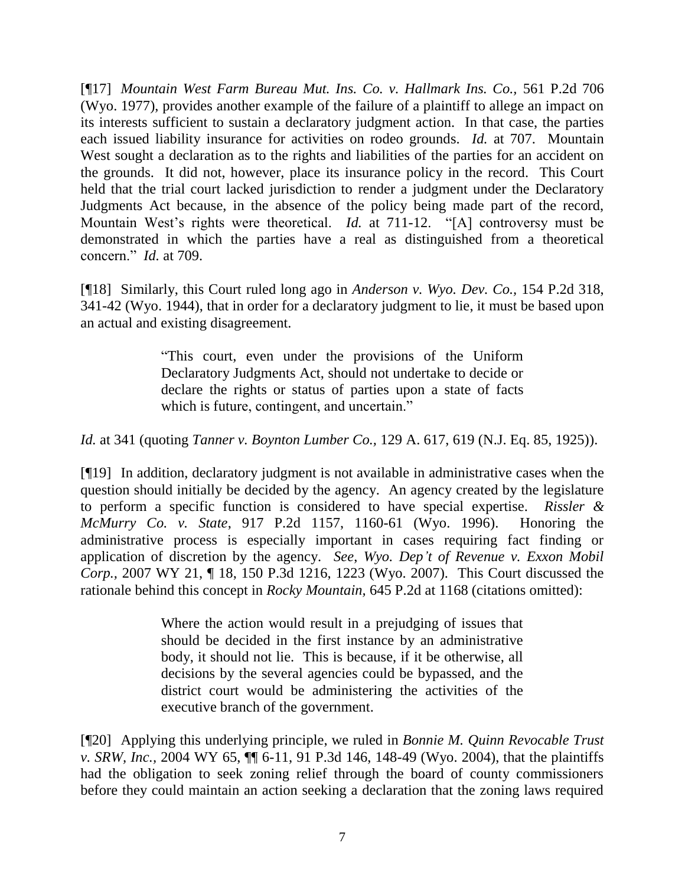[¶17] *Mountain West Farm Bureau Mut. Ins. Co. v. Hallmark Ins. Co.,* 561 P.2d 706 (Wyo. 1977), provides another example of the failure of a plaintiff to allege an impact on its interests sufficient to sustain a declaratory judgment action. In that case, the parties each issued liability insurance for activities on rodeo grounds. *Id.* at 707. Mountain West sought a declaration as to the rights and liabilities of the parties for an accident on the grounds. It did not, however, place its insurance policy in the record. This Court held that the trial court lacked jurisdiction to render a judgment under the Declaratory Judgments Act because, in the absence of the policy being made part of the record, Mountain West's rights were theoretical. *Id.* at 711-12. "[A] controversy must be demonstrated in which the parties have a real as distinguished from a theoretical concern.‖ *Id.* at 709.

[¶18] Similarly, this Court ruled long ago in *Anderson v. Wyo. Dev. Co.,* 154 P.2d 318, 341-42 (Wyo. 1944), that in order for a declaratory judgment to lie, it must be based upon an actual and existing disagreement.

> ―This court, even under the provisions of the Uniform Declaratory Judgments Act, should not undertake to decide or declare the rights or status of parties upon a state of facts which is future, contingent, and uncertain."

*Id.* at 341 (quoting *Tanner v. Boynton Lumber Co.,* 129 A. 617, 619 (N.J. Eq. 85, 1925)).

[¶19] In addition, declaratory judgment is not available in administrative cases when the question should initially be decided by the agency. An agency created by the legislature to perform a specific function is considered to have special expertise. *Rissler & McMurry Co. v. State*, 917 P.2d 1157, 1160-61 (Wyo. 1996). Honoring the administrative process is especially important in cases requiring fact finding or application of discretion by the agency. *See*, *Wyo. Dep't of Revenue v. Exxon Mobil Corp.,* 2007 WY 21, ¶ 18, 150 P.3d 1216, 1223 (Wyo. 2007). This Court discussed the rationale behind this concept in *Rocky Mountain,* 645 P.2d at 1168 (citations omitted):

> Where the action would result in a prejudging of issues that should be decided in the first instance by an administrative body, it should not lie. This is because, if it be otherwise, all decisions by the several agencies could be bypassed, and the district court would be administering the activities of the executive branch of the government.

[¶20] Applying this underlying principle, we ruled in *Bonnie M. Quinn Revocable Trust v. SRW, Inc.,* 2004 WY 65, ¶¶ 6-11, 91 P.3d 146, 148-49 (Wyo. 2004), that the plaintiffs had the obligation to seek zoning relief through the board of county commissioners before they could maintain an action seeking a declaration that the zoning laws required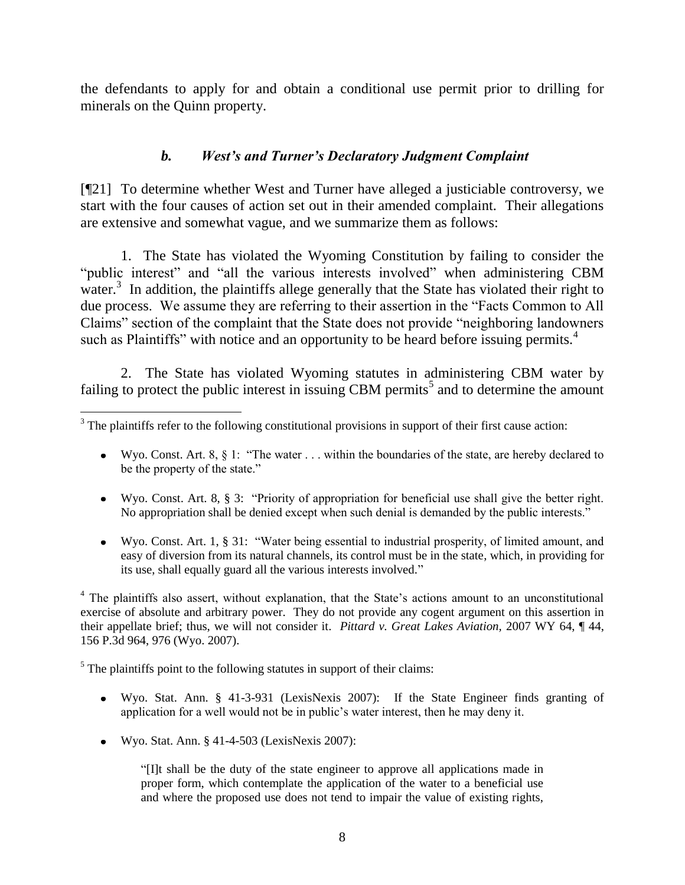the defendants to apply for and obtain a conditional use permit prior to drilling for minerals on the Quinn property.

## *b. West's and Turner's Declaratory Judgment Complaint*

[¶21] To determine whether West and Turner have alleged a justiciable controversy, we start with the four causes of action set out in their amended complaint. Their allegations are extensive and somewhat vague, and we summarize them as follows:

1. The State has violated the Wyoming Constitution by failing to consider the "public interest" and "all the various interests involved" when administering CBM water.<sup>3</sup> In addition, the plaintiffs allege generally that the State has violated their right to due process. We assume they are referring to their assertion in the "Facts Common to All Claims" section of the complaint that the State does not provide "neighboring landowners" such as Plaintiffs" with notice and an opportunity to be heard before issuing permits. $4$ 

2. The State has violated Wyoming statutes in administering CBM water by failing to protect the public interest in issuing CBM permits<sup>5</sup> and to determine the amount

- Wyo. Const. Art. 8,  $\S$  1: "The water . . . within the boundaries of the state, are hereby declared to be the property of the state."
- Wyo. Const. Art. 8, § 3: "Priority of appropriation for beneficial use shall give the better right. No appropriation shall be denied except when such denial is demanded by the public interests."
- Wyo. Const. Art. 1, § 31: "Water being essential to industrial prosperity, of limited amount, and easy of diversion from its natural channels, its control must be in the state, which, in providing for its use, shall equally guard all the various interests involved."

<sup>4</sup> The plaintiffs also assert, without explanation, that the State's actions amount to an unconstitutional exercise of absolute and arbitrary power. They do not provide any cogent argument on this assertion in their appellate brief; thus, we will not consider it. *Pittard v. Great Lakes Aviation,* 2007 WY 64, ¶ 44, 156 P.3d 964, 976 (Wyo. 2007).

 $<sup>5</sup>$  The plaintiffs point to the following statutes in support of their claims:</sup>

- Wyo. Stat. Ann. § 41-3-931 (LexisNexis 2007): If the State Engineer finds granting of application for a well would not be in public's water interest, then he may deny it.
- Wyo. Stat. Ann. § 41-4-503 (LexisNexis 2007):

 $\overline{a}$ 

―[I]t shall be the duty of the state engineer to approve all applications made in proper form, which contemplate the application of the water to a beneficial use and where the proposed use does not tend to impair the value of existing rights,

<sup>&</sup>lt;sup>3</sup> The plaintiffs refer to the following constitutional provisions in support of their first cause action: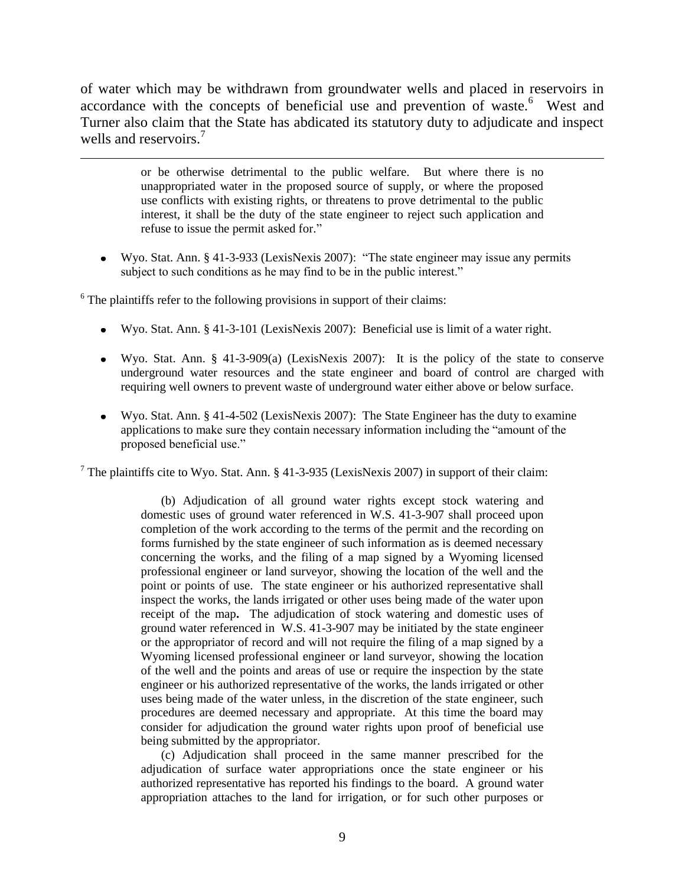of water which may be withdrawn from groundwater wells and placed in reservoirs in accordance with the concepts of beneficial use and prevention of waste.<sup>6</sup> West and Turner also claim that the State has abdicated its statutory duty to adjudicate and inspect wells and reservoirs.<sup>7</sup>

> or be otherwise detrimental to the public welfare. But where there is no unappropriated water in the proposed source of supply, or where the proposed use conflicts with existing rights, or threatens to prove detrimental to the public interest, it shall be the duty of the state engineer to reject such application and refuse to issue the permit asked for."

Wyo. Stat. Ann.  $\S$  41-3-933 (LexisNexis 2007): "The state engineer may issue any permits subject to such conditions as he may find to be in the public interest."

 $6$  The plaintiffs refer to the following provisions in support of their claims:

 $\overline{a}$ 

- Wyo. Stat. Ann. § 41-3-101 (LexisNexis 2007): Beneficial use is limit of a water right.
- Wyo. Stat. Ann. § 41-3-909(a) (LexisNexis 2007): It is the policy of the state to conserve underground water resources and the state engineer and board of control are charged with requiring well owners to prevent waste of underground water either above or below surface.
- Wyo. Stat. Ann. § 41-4-502 (LexisNexis 2007): The State Engineer has the duty to examine applications to make sure they contain necessary information including the "amount of the proposed beneficial use."

<sup>7</sup> The plaintiffs cite to Wyo. Stat. Ann. § 41-3-935 (LexisNexis 2007) in support of their claim:

(b) Adjudication of all ground water rights except stock watering and domestic uses of ground water referenced in W.S. 41-3-907 shall proceed upon completion of the work according to the terms of the permit and the recording on forms furnished by the state engineer of such information as is deemed necessary concerning the works, and the filing of a map signed by a Wyoming licensed professional engineer or land surveyor, showing the location of the well and the point or points of use. The state engineer or his authorized representative shall inspect the works, the lands irrigated or other uses being made of the water upon receipt of the map**.** The adjudication of stock watering and domestic uses of ground water referenced in W.S. 41-3-907 may be initiated by the state engineer or the appropriator of record and will not require the filing of a map signed by a Wyoming licensed professional engineer or land surveyor, showing the location of the well and the points and areas of use or require the inspection by the state engineer or his authorized representative of the works, the lands irrigated or other uses being made of the water unless, in the discretion of the state engineer, such procedures are deemed necessary and appropriate. At this time the board may consider for adjudication the ground water rights upon proof of beneficial use being submitted by the appropriator.

(c) Adjudication shall proceed in the same manner prescribed for the adjudication of surface water appropriations once the state engineer or his authorized representative has reported his findings to the board. A ground water appropriation attaches to the land for irrigation, or for such other purposes or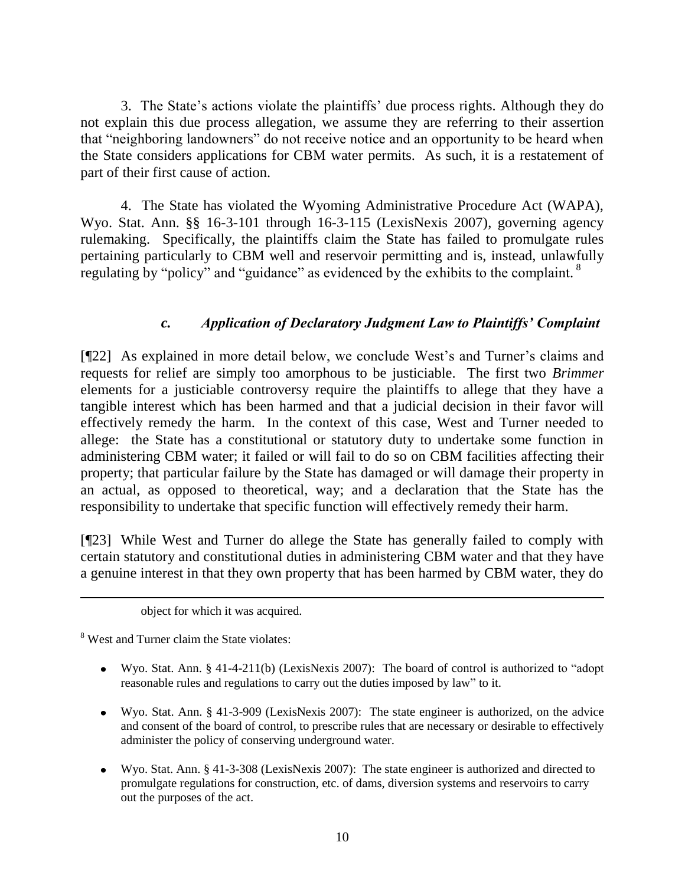3. The State's actions violate the plaintiffs' due process rights. Although they do not explain this due process allegation, we assume they are referring to their assertion that "neighboring landowners" do not receive notice and an opportunity to be heard when the State considers applications for CBM water permits. As such, it is a restatement of part of their first cause of action.

4. The State has violated the Wyoming Administrative Procedure Act (WAPA), Wyo. Stat. Ann. §§ 16-3-101 through 16-3-115 (LexisNexis 2007), governing agency rulemaking. Specifically, the plaintiffs claim the State has failed to promulgate rules pertaining particularly to CBM well and reservoir permitting and is, instead, unlawfully regulating by "policy" and "guidance" as evidenced by the exhibits to the complaint.  $8$ 

### *c. Application of Declaratory Judgment Law to Plaintiffs' Complaint*

[¶22] As explained in more detail below, we conclude West's and Turner's claims and requests for relief are simply too amorphous to be justiciable. The first two *Brimmer*  elements for a justiciable controversy require the plaintiffs to allege that they have a tangible interest which has been harmed and that a judicial decision in their favor will effectively remedy the harm. In the context of this case, West and Turner needed to allege: the State has a constitutional or statutory duty to undertake some function in administering CBM water; it failed or will fail to do so on CBM facilities affecting their property; that particular failure by the State has damaged or will damage their property in an actual, as opposed to theoretical, way; and a declaration that the State has the responsibility to undertake that specific function will effectively remedy their harm.

[¶23] While West and Turner do allege the State has generally failed to comply with certain statutory and constitutional duties in administering CBM water and that they have a genuine interest in that they own property that has been harmed by CBM water, they do

<sup>8</sup> West and Turner claim the State violates:

- Wyo. Stat. Ann. § 41-4-211(b) (LexisNexis 2007): The board of control is authorized to "adopt" reasonable rules and regulations to carry out the duties imposed by law" to it.
- Wyo. Stat. Ann. § 41-3-909 (LexisNexis 2007): The state engineer is authorized, on the advice and consent of the board of control, to prescribe rules that are necessary or desirable to effectively administer the policy of conserving underground water.
- Wyo. Stat. Ann. § 41-3-308 (LexisNexis 2007): The state engineer is authorized and directed to promulgate regulations for construction, etc. of dams, diversion systems and reservoirs to carry out the purposes of the act.

object for which it was acquired.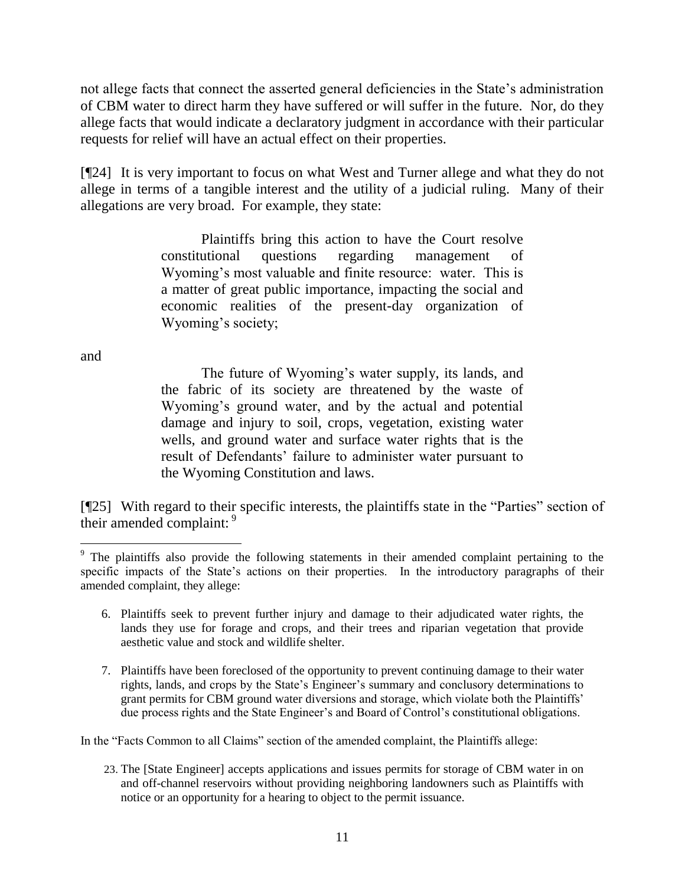not allege facts that connect the asserted general deficiencies in the State's administration of CBM water to direct harm they have suffered or will suffer in the future. Nor, do they allege facts that would indicate a declaratory judgment in accordance with their particular requests for relief will have an actual effect on their properties.

[¶24] It is very important to focus on what West and Turner allege and what they do not allege in terms of a tangible interest and the utility of a judicial ruling. Many of their allegations are very broad. For example, they state:

> Plaintiffs bring this action to have the Court resolve constitutional questions regarding management of Wyoming's most valuable and finite resource: water. This is a matter of great public importance, impacting the social and economic realities of the present-day organization of Wyoming's society;

and

 $\overline{a}$ 

The future of Wyoming's water supply, its lands, and the fabric of its society are threatened by the waste of Wyoming's ground water, and by the actual and potential damage and injury to soil, crops, vegetation, existing water wells, and ground water and surface water rights that is the result of Defendants' failure to administer water pursuant to the Wyoming Constitution and laws.

[¶25] With regard to their specific interests, the plaintiffs state in the "Parties" section of their amended complaint: 9

- 6. Plaintiffs seek to prevent further injury and damage to their adjudicated water rights, the lands they use for forage and crops, and their trees and riparian vegetation that provide aesthetic value and stock and wildlife shelter.
- 7. Plaintiffs have been foreclosed of the opportunity to prevent continuing damage to their water rights, lands, and crops by the State's Engineer's summary and conclusory determinations to grant permits for CBM ground water diversions and storage, which violate both the Plaintiffs' due process rights and the State Engineer's and Board of Control's constitutional obligations.

In the "Facts Common to all Claims" section of the amended complaint, the Plaintiffs allege:

23. The [State Engineer] accepts applications and issues permits for storage of CBM water in on and off-channel reservoirs without providing neighboring landowners such as Plaintiffs with notice or an opportunity for a hearing to object to the permit issuance.

<sup>&</sup>lt;sup>9</sup> The plaintiffs also provide the following statements in their amended complaint pertaining to the specific impacts of the State's actions on their properties. In the introductory paragraphs of their amended complaint, they allege: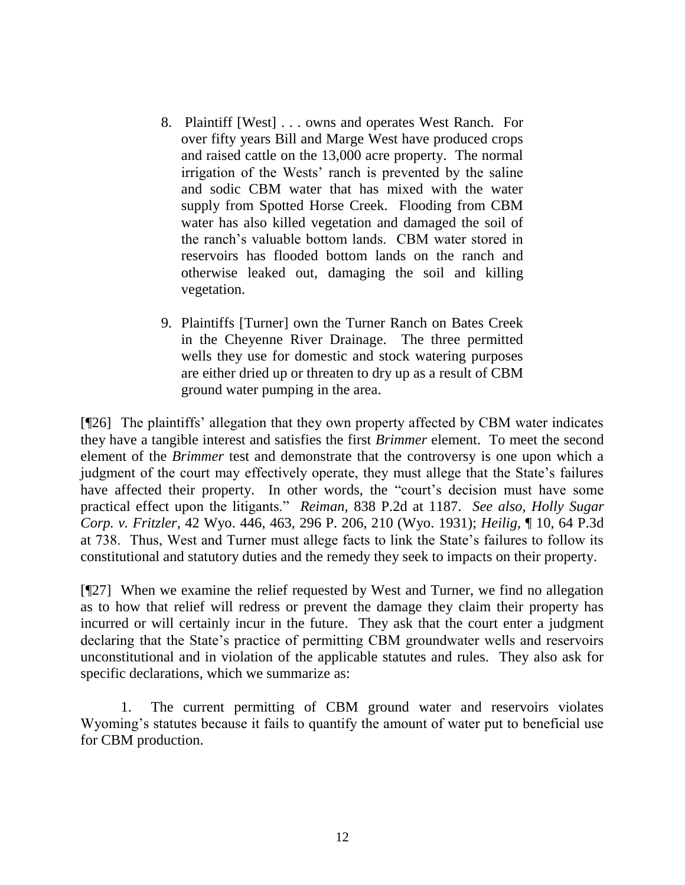- 8. Plaintiff [West] . . . owns and operates West Ranch. For over fifty years Bill and Marge West have produced crops and raised cattle on the 13,000 acre property. The normal irrigation of the Wests' ranch is prevented by the saline and sodic CBM water that has mixed with the water supply from Spotted Horse Creek. Flooding from CBM water has also killed vegetation and damaged the soil of the ranch's valuable bottom lands. CBM water stored in reservoirs has flooded bottom lands on the ranch and otherwise leaked out, damaging the soil and killing vegetation.
- 9. Plaintiffs [Turner] own the Turner Ranch on Bates Creek in the Cheyenne River Drainage. The three permitted wells they use for domestic and stock watering purposes are either dried up or threaten to dry up as a result of CBM ground water pumping in the area.

[¶26] The plaintiffs' allegation that they own property affected by CBM water indicates they have a tangible interest and satisfies the first *Brimmer* element. To meet the second element of the *Brimmer* test and demonstrate that the controversy is one upon which a judgment of the court may effectively operate, they must allege that the State's failures have affected their property. In other words, the "court's decision must have some practical effect upon the litigants.‖ *Reiman,* 838 P.2d at 1187. *See also*, *Holly Sugar Corp. v. Fritzler,* 42 Wyo. 446, 463, 296 P. 206, 210 (Wyo. 1931); *Heilig,* ¶ 10, 64 P.3d at 738. Thus, West and Turner must allege facts to link the State's failures to follow its constitutional and statutory duties and the remedy they seek to impacts on their property.

[¶27] When we examine the relief requested by West and Turner, we find no allegation as to how that relief will redress or prevent the damage they claim their property has incurred or will certainly incur in the future. They ask that the court enter a judgment declaring that the State's practice of permitting CBM groundwater wells and reservoirs unconstitutional and in violation of the applicable statutes and rules. They also ask for specific declarations, which we summarize as:

1. The current permitting of CBM ground water and reservoirs violates Wyoming's statutes because it fails to quantify the amount of water put to beneficial use for CBM production.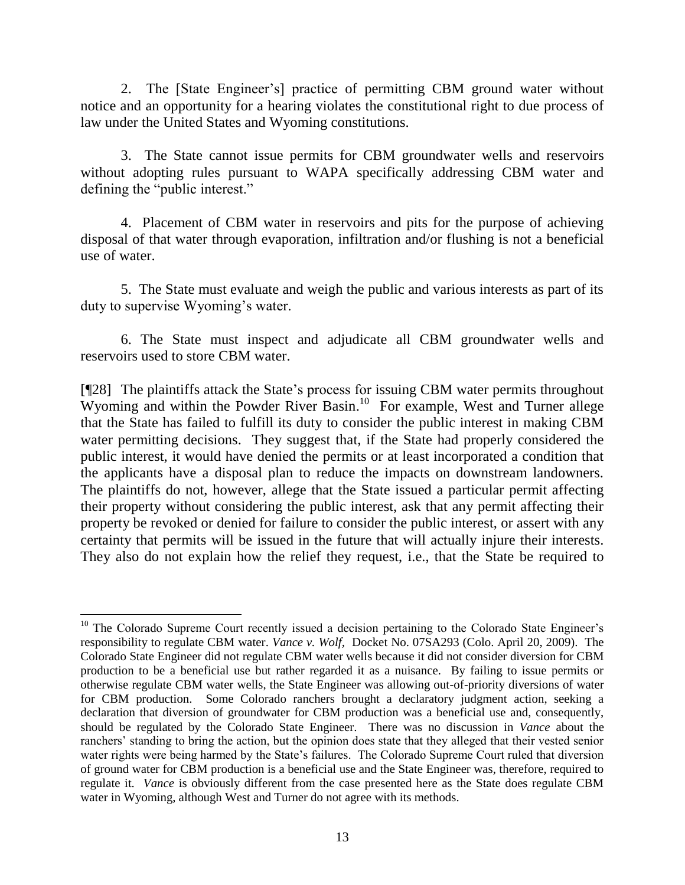2. The [State Engineer's] practice of permitting CBM ground water without notice and an opportunity for a hearing violates the constitutional right to due process of law under the United States and Wyoming constitutions.

3. The State cannot issue permits for CBM groundwater wells and reservoirs without adopting rules pursuant to WAPA specifically addressing CBM water and defining the "public interest."

4. Placement of CBM water in reservoirs and pits for the purpose of achieving disposal of that water through evaporation, infiltration and/or flushing is not a beneficial use of water.

5. The State must evaluate and weigh the public and various interests as part of its duty to supervise Wyoming's water.

6. The State must inspect and adjudicate all CBM groundwater wells and reservoirs used to store CBM water.

[¶28] The plaintiffs attack the State's process for issuing CBM water permits throughout Wyoming and within the Powder River Basin. 10 For example, West and Turner allege that the State has failed to fulfill its duty to consider the public interest in making CBM water permitting decisions. They suggest that, if the State had properly considered the public interest, it would have denied the permits or at least incorporated a condition that the applicants have a disposal plan to reduce the impacts on downstream landowners. The plaintiffs do not, however, allege that the State issued a particular permit affecting their property without considering the public interest, ask that any permit affecting their property be revoked or denied for failure to consider the public interest, or assert with any certainty that permits will be issued in the future that will actually injure their interests. They also do not explain how the relief they request, i.e., that the State be required to

 $\overline{a}$ <sup>10</sup> The Colorado Supreme Court recently issued a decision pertaining to the Colorado State Engineer's responsibility to regulate CBM water. *Vance v. Wolf,* Docket No. 07SA293 (Colo. April 20, 2009). The Colorado State Engineer did not regulate CBM water wells because it did not consider diversion for CBM production to be a beneficial use but rather regarded it as a nuisance. By failing to issue permits or otherwise regulate CBM water wells, the State Engineer was allowing out-of-priority diversions of water for CBM production. Some Colorado ranchers brought a declaratory judgment action, seeking a declaration that diversion of groundwater for CBM production was a beneficial use and, consequently, should be regulated by the Colorado State Engineer. There was no discussion in *Vance* about the ranchers' standing to bring the action, but the opinion does state that they alleged that their vested senior water rights were being harmed by the State's failures. The Colorado Supreme Court ruled that diversion of ground water for CBM production is a beneficial use and the State Engineer was, therefore, required to regulate it. *Vance* is obviously different from the case presented here as the State does regulate CBM water in Wyoming, although West and Turner do not agree with its methods.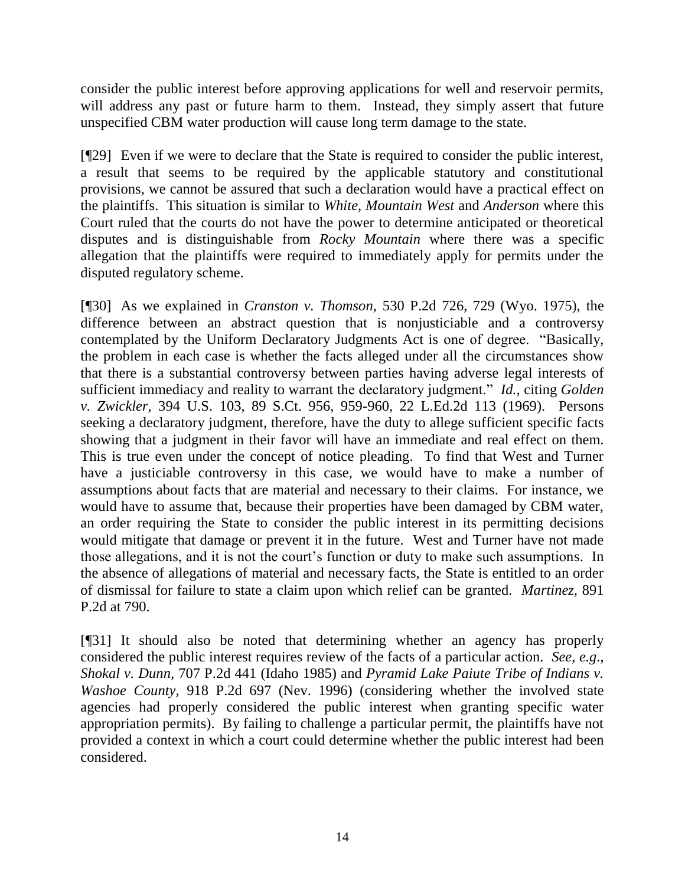consider the public interest before approving applications for well and reservoir permits, will address any past or future harm to them. Instead, they simply assert that future unspecified CBM water production will cause long term damage to the state.

[¶29] Even if we were to declare that the State is required to consider the public interest, a result that seems to be required by the applicable statutory and constitutional provisions, we cannot be assured that such a declaration would have a practical effect on the plaintiffs. This situation is similar to *White, Mountain West* and *Anderson* where this Court ruled that the courts do not have the power to determine anticipated or theoretical disputes and is distinguishable from *Rocky Mountain* where there was a specific allegation that the plaintiffs were required to immediately apply for permits under the disputed regulatory scheme.

[¶30] As we explained in *Cranston v. Thomson,* 530 P.2d 726, 729 (Wyo. 1975), the difference between an abstract question that is nonjusticiable and a controversy contemplated by the Uniform Declaratory Judgments Act is one of degree. "Basically, the problem in each case is whether the facts alleged under all the circumstances show that there is a substantial controversy between parties having adverse legal interests of sufficient immediacy and reality to warrant the declaratory judgment." *Id.*, citing *Golden v. Zwickler*, 394 U.S. 103, 89 S.Ct. 956, 959-960, 22 L.Ed.2d 113 (1969). Persons seeking a declaratory judgment, therefore, have the duty to allege sufficient specific facts showing that a judgment in their favor will have an immediate and real effect on them. This is true even under the concept of notice pleading. To find that West and Turner have a justiciable controversy in this case, we would have to make a number of assumptions about facts that are material and necessary to their claims. For instance, we would have to assume that, because their properties have been damaged by CBM water, an order requiring the State to consider the public interest in its permitting decisions would mitigate that damage or prevent it in the future. West and Turner have not made those allegations, and it is not the court's function or duty to make such assumptions. In the absence of allegations of material and necessary facts, the State is entitled to an order of dismissal for failure to state a claim upon which relief can be granted. *Martinez,* 891 P.2d at 790.

[¶31] It should also be noted that determining whether an agency has properly considered the public interest requires review of the facts of a particular action. *See, e.g*., *Shokal v. Dunn,* 707 P.2d 441 (Idaho 1985) and *Pyramid Lake Paiute Tribe of Indians v. Washoe County*, 918 P.2d 697 (Nev. 1996) (considering whether the involved state agencies had properly considered the public interest when granting specific water appropriation permits). By failing to challenge a particular permit, the plaintiffs have not provided a context in which a court could determine whether the public interest had been considered.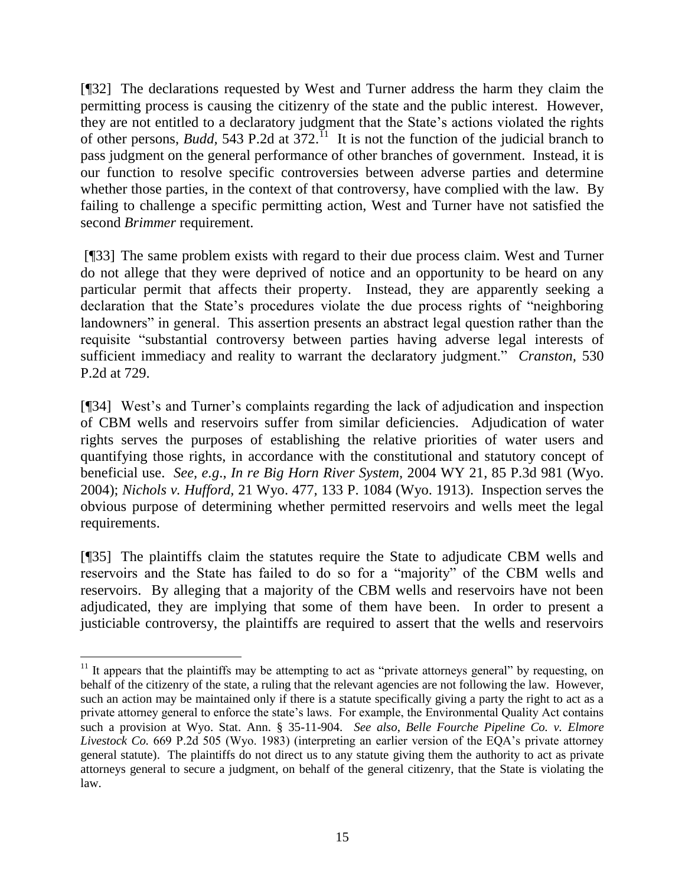[¶32] The declarations requested by West and Turner address the harm they claim the permitting process is causing the citizenry of the state and the public interest. However, they are not entitled to a declaratory judgment that the State's actions violated the rights of other persons, *Budd*, 543 P.2d at  $372$ .<sup>11</sup> It is not the function of the judicial branch to pass judgment on the general performance of other branches of government. Instead, it is our function to resolve specific controversies between adverse parties and determine whether those parties, in the context of that controversy, have complied with the law. By failing to challenge a specific permitting action, West and Turner have not satisfied the second *Brimmer* requirement.

[¶33] The same problem exists with regard to their due process claim. West and Turner do not allege that they were deprived of notice and an opportunity to be heard on any particular permit that affects their property. Instead, they are apparently seeking a declaration that the State's procedures violate the due process rights of "neighboring" landowners" in general. This assertion presents an abstract legal question rather than the requisite "substantial controversy between parties having adverse legal interests of sufficient immediacy and reality to warrant the declaratory judgment." *Cranston*, 530 P.2d at 729.

[¶34] West's and Turner's complaints regarding the lack of adjudication and inspection of CBM wells and reservoirs suffer from similar deficiencies. Adjudication of water rights serves the purposes of establishing the relative priorities of water users and quantifying those rights, in accordance with the constitutional and statutory concept of beneficial use. *See, e.g*., *In re Big Horn River System,* 2004 WY 21, 85 P.3d 981 (Wyo. 2004); *Nichols v. Hufford,* 21 Wyo. 477*,* 133 P. 1084 (Wyo. 1913). Inspection serves the obvious purpose of determining whether permitted reservoirs and wells meet the legal requirements.

[¶35] The plaintiffs claim the statutes require the State to adjudicate CBM wells and reservoirs and the State has failed to do so for a "majority" of the CBM wells and reservoirs. By alleging that a majority of the CBM wells and reservoirs have not been adjudicated, they are implying that some of them have been. In order to present a justiciable controversy, the plaintiffs are required to assert that the wells and reservoirs

 $11$  It appears that the plaintiffs may be attempting to act as "private attorneys general" by requesting, on behalf of the citizenry of the state, a ruling that the relevant agencies are not following the law. However, such an action may be maintained only if there is a statute specifically giving a party the right to act as a private attorney general to enforce the state's laws. For example, the Environmental Quality Act contains such a provision at Wyo. Stat. Ann. § 35-11-904. *See also*, *Belle Fourche Pipeline Co. v. Elmore Livestock Co.* 669 P.2d 505 (Wyo. 1983) (interpreting an earlier version of the EQA's private attorney general statute). The plaintiffs do not direct us to any statute giving them the authority to act as private attorneys general to secure a judgment, on behalf of the general citizenry, that the State is violating the law.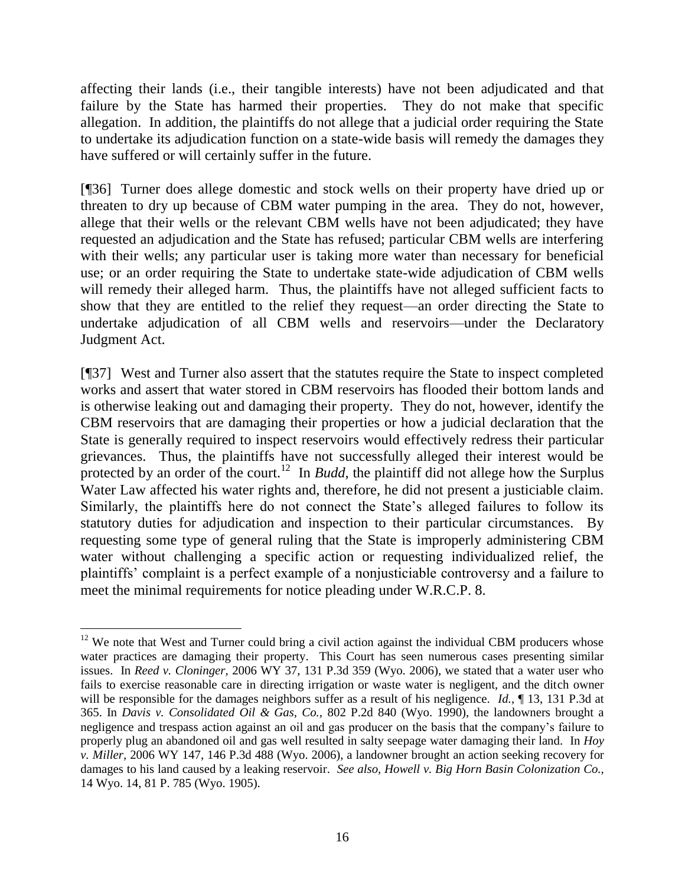affecting their lands (i.e., their tangible interests) have not been adjudicated and that failure by the State has harmed their properties. They do not make that specific allegation. In addition, the plaintiffs do not allege that a judicial order requiring the State to undertake its adjudication function on a state-wide basis will remedy the damages they have suffered or will certainly suffer in the future.

[¶36] Turner does allege domestic and stock wells on their property have dried up or threaten to dry up because of CBM water pumping in the area. They do not, however, allege that their wells or the relevant CBM wells have not been adjudicated; they have requested an adjudication and the State has refused; particular CBM wells are interfering with their wells; any particular user is taking more water than necessary for beneficial use; or an order requiring the State to undertake state-wide adjudication of CBM wells will remedy their alleged harm. Thus, the plaintiffs have not alleged sufficient facts to show that they are entitled to the relief they request—an order directing the State to undertake adjudication of all CBM wells and reservoirs—under the Declaratory Judgment Act.

[¶37] West and Turner also assert that the statutes require the State to inspect completed works and assert that water stored in CBM reservoirs has flooded their bottom lands and is otherwise leaking out and damaging their property. They do not, however, identify the CBM reservoirs that are damaging their properties or how a judicial declaration that the State is generally required to inspect reservoirs would effectively redress their particular grievances. Thus, the plaintiffs have not successfully alleged their interest would be protected by an order of the court.<sup>12</sup> In *Budd*, the plaintiff did not allege how the Surplus Water Law affected his water rights and, therefore, he did not present a justiciable claim. Similarly, the plaintiffs here do not connect the State's alleged failures to follow its statutory duties for adjudication and inspection to their particular circumstances. By requesting some type of general ruling that the State is improperly administering CBM water without challenging a specific action or requesting individualized relief, the plaintiffs' complaint is a perfect example of a nonjusticiable controversy and a failure to meet the minimal requirements for notice pleading under W.R.C.P. 8.

 $12$  We note that West and Turner could bring a civil action against the individual CBM producers whose water practices are damaging their property. This Court has seen numerous cases presenting similar issues. In *Reed v. Cloninger,* 2006 WY 37, 131 P.3d 359 (Wyo. 2006), we stated that a water user who fails to exercise reasonable care in directing irrigation or waste water is negligent, and the ditch owner will be responsible for the damages neighbors suffer as a result of his negligence. *Id.*, **[13, 131 P.3d at** 365. In *Davis v. Consolidated Oil & Gas, Co.,* 802 P.2d 840 (Wyo. 1990), the landowners brought a negligence and trespass action against an oil and gas producer on the basis that the company's failure to properly plug an abandoned oil and gas well resulted in salty seepage water damaging their land. In *Hoy v. Miller,* 2006 WY 147, 146 P.3d 488 (Wyo. 2006), a landowner brought an action seeking recovery for damages to his land caused by a leaking reservoir. *See also, Howell v. Big Horn Basin Colonization Co.,*  14 Wyo. 14, 81 P. 785 (Wyo. 1905).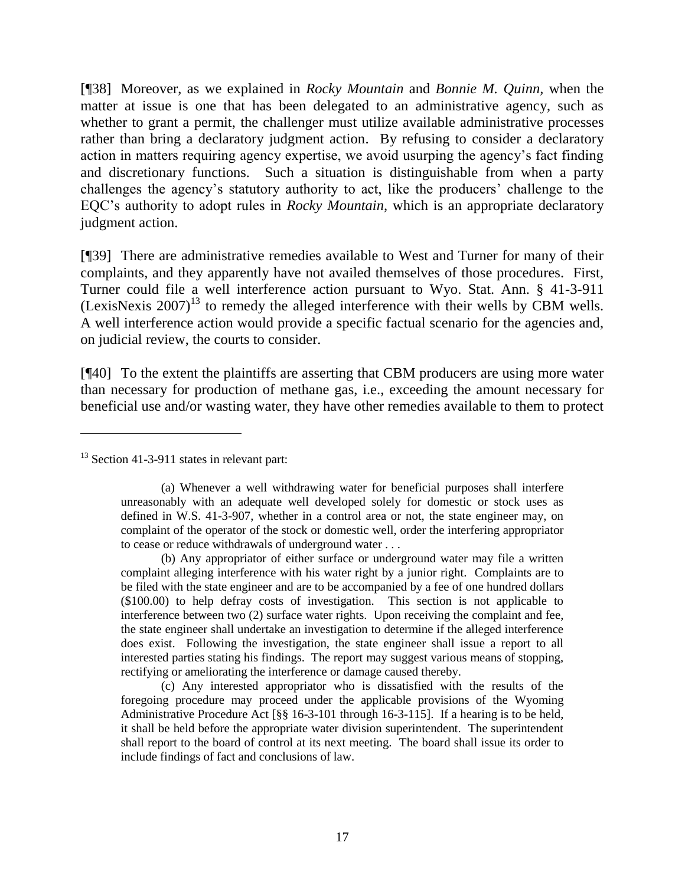[¶38] Moreover, as we explained in *Rocky Mountain* and *Bonnie M. Quinn,* when the matter at issue is one that has been delegated to an administrative agency, such as whether to grant a permit, the challenger must utilize available administrative processes rather than bring a declaratory judgment action. By refusing to consider a declaratory action in matters requiring agency expertise, we avoid usurping the agency's fact finding and discretionary functions. Such a situation is distinguishable from when a party challenges the agency's statutory authority to act, like the producers' challenge to the EQC's authority to adopt rules in *Rocky Mountain,* which is an appropriate declaratory judgment action.

[¶39] There are administrative remedies available to West and Turner for many of their complaints, and they apparently have not availed themselves of those procedures. First, Turner could file a well interference action pursuant to Wyo. Stat. Ann. § 41-3-911  $(LexisNext's 2007)<sup>13</sup>$  to remedy the alleged interference with their wells by CBM wells. A well interference action would provide a specific factual scenario for the agencies and, on judicial review, the courts to consider.

[¶40] To the extent the plaintiffs are asserting that CBM producers are using more water than necessary for production of methane gas, i.e., exceeding the amount necessary for beneficial use and/or wasting water, they have other remedies available to them to protect

<sup>13</sup> Section 41-3-911 states in relevant part:

 $\overline{a}$ 

(b) Any appropriator of either surface or underground water may file a written complaint alleging interference with his water right by a junior right. Complaints are to be filed with the state engineer and are to be accompanied by a fee of one hundred dollars (\$100.00) to help defray costs of investigation. This section is not applicable to interference between two (2) surface water rights. Upon receiving the complaint and fee, the state engineer shall undertake an investigation to determine if the alleged interference does exist. Following the investigation, the state engineer shall issue a report to all interested parties stating his findings. The report may suggest various means of stopping, rectifying or ameliorating the interference or damage caused thereby.

(c) Any interested appropriator who is dissatisfied with the results of the foregoing procedure may proceed under the applicable provisions of the Wyoming Administrative Procedure Act [§§ 16-3-101 through 16-3-115]. If a hearing is to be held, it shall be held before the appropriate water division superintendent. The superintendent shall report to the board of control at its next meeting. The board shall issue its order to include findings of fact and conclusions of law.

<sup>(</sup>a) Whenever a well withdrawing water for beneficial purposes shall interfere unreasonably with an adequate well developed solely for domestic or stock uses as defined in W.S. 41-3-907, whether in a control area or not, the state engineer may, on complaint of the operator of the stock or domestic well, order the interfering appropriator to cease or reduce withdrawals of underground water . . .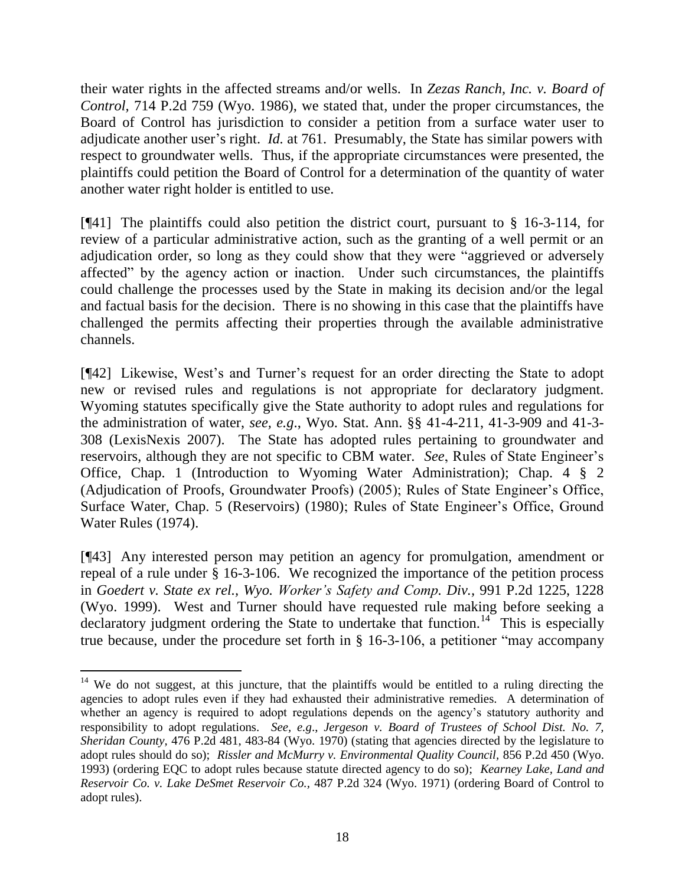their water rights in the affected streams and/or wells. In *Zezas Ranch, Inc. v. Board of Control,* 714 P.2d 759 (Wyo. 1986), we stated that, under the proper circumstances, the Board of Control has jurisdiction to consider a petition from a surface water user to adjudicate another user's right. *Id.* at 761. Presumably, the State has similar powers with respect to groundwater wells. Thus, if the appropriate circumstances were presented, the plaintiffs could petition the Board of Control for a determination of the quantity of water another water right holder is entitled to use.

[¶41] The plaintiffs could also petition the district court, pursuant to § 16-3-114, for review of a particular administrative action, such as the granting of a well permit or an adjudication order, so long as they could show that they were "aggrieved or adversely affected‖ by the agency action or inaction. Under such circumstances, the plaintiffs could challenge the processes used by the State in making its decision and/or the legal and factual basis for the decision. There is no showing in this case that the plaintiffs have challenged the permits affecting their properties through the available administrative channels.

[¶42] Likewise, West's and Turner's request for an order directing the State to adopt new or revised rules and regulations is not appropriate for declaratory judgment. Wyoming statutes specifically give the State authority to adopt rules and regulations for the administration of water, *see, e.g*., Wyo. Stat. Ann. §§ 41-4-211, 41-3-909 and 41-3- 308 (LexisNexis 2007). The State has adopted rules pertaining to groundwater and reservoirs, although they are not specific to CBM water. *See*, Rules of State Engineer's Office, Chap. 1 (Introduction to Wyoming Water Administration); Chap. 4 § 2 (Adjudication of Proofs, Groundwater Proofs) (2005); Rules of State Engineer's Office, Surface Water, Chap. 5 (Reservoirs) (1980); Rules of State Engineer's Office, Ground Water Rules (1974).

[¶43] Any interested person may petition an agency for promulgation, amendment or repeal of a rule under § 16-3-106. We recognized the importance of the petition process in *Goedert v. State ex rel., Wyo. Worker's Safety and Comp. Div.,* 991 P.2d 1225, 1228 (Wyo. 1999). West and Turner should have requested rule making before seeking a declaratory judgment ordering the State to undertake that function.<sup>14</sup> This is especially true because, under the procedure set forth in  $\S$  16-3-106, a petitioner "may accompany

<sup>&</sup>lt;sup>14</sup> We do not suggest, at this juncture, that the plaintiffs would be entitled to a ruling directing the agencies to adopt rules even if they had exhausted their administrative remedies. A determination of whether an agency is required to adopt regulations depends on the agency's statutory authority and responsibility to adopt regulations. *See, e.g*., *Jergeson v. Board of Trustees of School Dist. No. 7, Sheridan County,* 476 P.2d 481, 483-84 (Wyo. 1970) (stating that agencies directed by the legislature to adopt rules should do so); *Rissler and McMurry v. Environmental Quality Council,* 856 P.2d 450 (Wyo. 1993) (ordering EQC to adopt rules because statute directed agency to do so); *Kearney Lake, Land and Reservoir Co. v. Lake DeSmet Reservoir Co.,* 487 P.2d 324 (Wyo. 1971) (ordering Board of Control to adopt rules).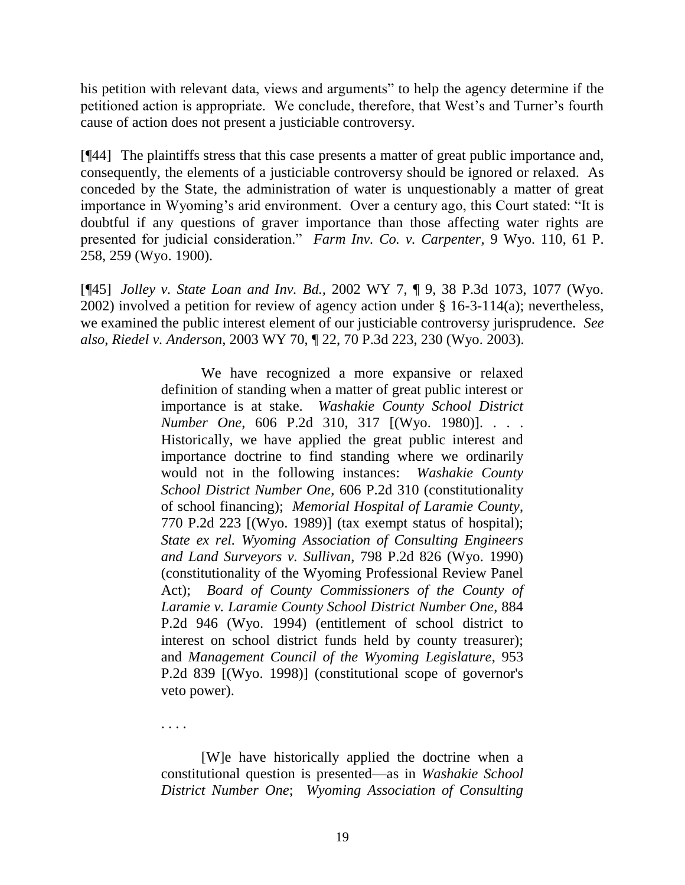his petition with relevant data, views and arguments" to help the agency determine if the petitioned action is appropriate. We conclude, therefore, that West's and Turner's fourth cause of action does not present a justiciable controversy.

[¶44] The plaintiffs stress that this case presents a matter of great public importance and, consequently, the elements of a justiciable controversy should be ignored or relaxed. As conceded by the State, the administration of water is unquestionably a matter of great importance in Wyoming's arid environment. Over a century ago, this Court stated: "It is doubtful if any questions of graver importance than those affecting water rights are presented for judicial consideration." Farm Inv. Co. v. Carpenter, 9 Wyo. 110, 61 P. 258, 259 (Wyo. 1900).

[¶45] *Jolley v. State Loan and Inv. Bd.,* 2002 WY 7, ¶ 9, 38 P.3d 1073, 1077 (Wyo. 2002) involved a petition for review of agency action under § 16-3-114(a); nevertheless, we examined the public interest element of our justiciable controversy jurisprudence. *See also*, *Riedel v. Anderson,* 2003 WY 70, ¶ 22, 70 P.3d 223, 230 (Wyo. 2003).

> We have recognized a more expansive or relaxed definition of standing when a matter of great public interest or importance is at stake. *Washakie County School District Number One*, 606 P.2d 310, 317 [(Wyo. 1980)]. . . . Historically, we have applied the great public interest and importance doctrine to find standing where we ordinarily would not in the following instances: *Washakie County School District Number One*, 606 P.2d 310 (constitutionality of school financing); *Memorial Hospital of Laramie County*, 770 P.2d 223 [(Wyo. 1989)] (tax exempt status of hospital); *State ex rel. Wyoming Association of Consulting Engineers and Land Surveyors v. Sullivan*, 798 P.2d 826 (Wyo. 1990) (constitutionality of the Wyoming Professional Review Panel Act); *Board of County Commissioners of the County of Laramie v. Laramie County School District Number One*, 884 P.2d 946 (Wyo. 1994) (entitlement of school district to interest on school district funds held by county treasurer); and *Management Council of the Wyoming Legislature*, 953 P.2d 839 [(Wyo. 1998)] (constitutional scope of governor's veto power).

. . . .

[W]e have historically applied the doctrine when a constitutional question is presented—as in *Washakie School District Number One*; *Wyoming Association of Consulting*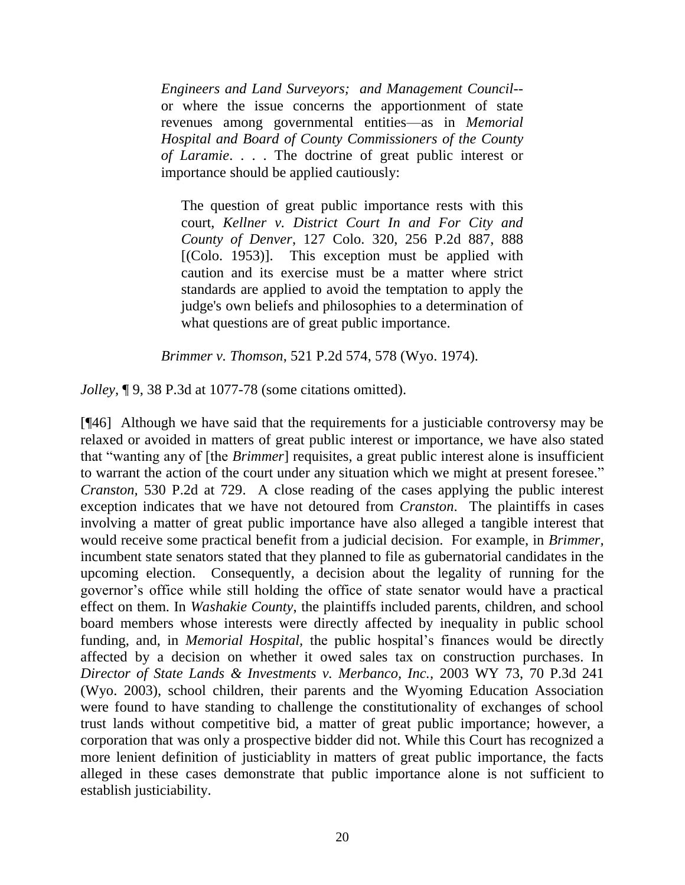*Engineers and Land Surveyors; and Management Council*- or where the issue concerns the apportionment of state revenues among governmental entities—as in *Memorial Hospital and Board of County Commissioners of the County of Laramie*. . . . The doctrine of great public interest or importance should be applied cautiously:

The question of great public importance rests with this court, *Kellner v. District Court In and For City and County of Denver*, 127 Colo. 320, 256 P.2d 887, 888 [(Colo. 1953)]. This exception must be applied with caution and its exercise must be a matter where strict standards are applied to avoid the temptation to apply the judge's own beliefs and philosophies to a determination of what questions are of great public importance.

*Brimmer v. Thomson*, 521 P.2d 574, 578 (Wyo. 1974).

*Jolley,* ¶ 9, 38 P.3d at 1077-78 (some citations omitted).

[¶46] Although we have said that the requirements for a justiciable controversy may be relaxed or avoided in matters of great public interest or importance, we have also stated that "wanting any of [the *Brimmer*] requisites, a great public interest alone is insufficient to warrant the action of the court under any situation which we might at present foresee." *Cranston,* 530 P.2d at 729. A close reading of the cases applying the public interest exception indicates that we have not detoured from *Cranston*. The plaintiffs in cases involving a matter of great public importance have also alleged a tangible interest that would receive some practical benefit from a judicial decision. For example, in *Brimmer,* incumbent state senators stated that they planned to file as gubernatorial candidates in the upcoming election. Consequently, a decision about the legality of running for the governor's office while still holding the office of state senator would have a practical effect on them. In *Washakie County*, the plaintiffs included parents, children, and school board members whose interests were directly affected by inequality in public school funding, and, in *Memorial Hospital,* the public hospital's finances would be directly affected by a decision on whether it owed sales tax on construction purchases. In *Director of State Lands & Investments v. Merbanco, Inc.,* 2003 WY 73, 70 P.3d 241 (Wyo. 2003), school children, their parents and the Wyoming Education Association were found to have standing to challenge the constitutionality of exchanges of school trust lands without competitive bid, a matter of great public importance; however, a corporation that was only a prospective bidder did not. While this Court has recognized a more lenient definition of justiciablity in matters of great public importance, the facts alleged in these cases demonstrate that public importance alone is not sufficient to establish justiciability.